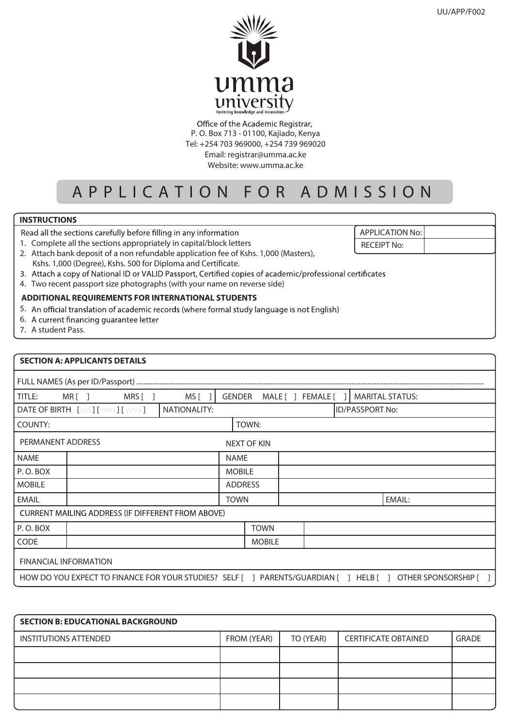

Office of the Academic Registrar, P. O. Box 713 - 01100, Kajiado, Kenya Tel: +254 703 969000, +254 739 969020 Email: registrar@umma.ac.ke Website: www.umma.ac.ke

# APPLICATION FOR ADMISSIO N

## **INSTRUCTIONS**

Read all the sections carefully before filling in any information

1. Complete all the sections appropriately in capital/block letters

| 2. Attach bank deposit of a non refundable application fee of Kshs. 1,000 (Masters), |
|--------------------------------------------------------------------------------------|
| Kshs. 1,000 (Degree), Kshs. 500 for Diploma and Certificate.                         |

- 3. Attach a copy of National ID or VALID Passport, Certified copies of academic/professional certificates
- 4. Two recent passport size photographs (with your name on reverse side)

### **ADDITIONAL REQUIREMENTS FOR INTERNATIONAL STUDENTS**

- 5. An official translation of academic records (where formal study language is not English)
- 6. A current financing quarantee letter
- 7. A student Pass.

#### **SECTION A: APPLICANTS DETAILS**

| MRS[]<br>MRI 1<br>TITLE:                                                                                    | MS [         | MALE[] FEMALE[<br><b>MARITAL STATUS:</b><br><b>GENDER</b> |  |  |  |        |
|-------------------------------------------------------------------------------------------------------------|--------------|-----------------------------------------------------------|--|--|--|--------|
| DATE OF BIRTH [dd] [mm] [yyyy]                                                                              | NATIONALITY: | <b>ID/PASSPORT No:</b>                                    |  |  |  |        |
| COUNTY:                                                                                                     |              | TOWN:                                                     |  |  |  |        |
| PERMANENT ADDRESS                                                                                           |              | <b>NEXT OF KIN</b>                                        |  |  |  |        |
| <b>NAME</b>                                                                                                 |              | <b>NAME</b>                                               |  |  |  |        |
| P.O.BOX                                                                                                     |              | <b>MOBILE</b>                                             |  |  |  |        |
| <b>MOBILE</b>                                                                                               |              | <b>ADDRESS</b>                                            |  |  |  |        |
| <b>EMAIL</b>                                                                                                |              | <b>TOWN</b>                                               |  |  |  | EMAIL: |
| <b>CURRENT MAILING ADDRESS (IF DIFFERENT FROM ABOVE)</b>                                                    |              |                                                           |  |  |  |        |
| P.O.BOX                                                                                                     |              | <b>TOWN</b>                                               |  |  |  |        |
| <b>CODE</b>                                                                                                 |              | <b>MOBILE</b>                                             |  |  |  |        |
| <b>FINANCIAL INFORMATION</b>                                                                                |              |                                                           |  |  |  |        |
| HOW DO YOU EXPECT TO FINANCE FOR YOUR STUDIES? SELF [ ] PARENTS/GUARDIAN [ ] HELB [ ] OTHER SPONSORSHIP [ ] |              |                                                           |  |  |  |        |

| <b>SECTION B: EDUCATIONAL BACKGROUND</b> |             |           |                             |              |  |  |
|------------------------------------------|-------------|-----------|-----------------------------|--------------|--|--|
| INSTITUTIONS ATTENDED                    | FROM (YEAR) | TO (YEAR) | <b>CERTIFICATE OBTAINED</b> | <b>GRADE</b> |  |  |
|                                          |             |           |                             |              |  |  |
|                                          |             |           |                             |              |  |  |
|                                          |             |           |                             |              |  |  |
|                                          |             |           |                             |              |  |  |

APPLICATION No:

RECEIPT No: